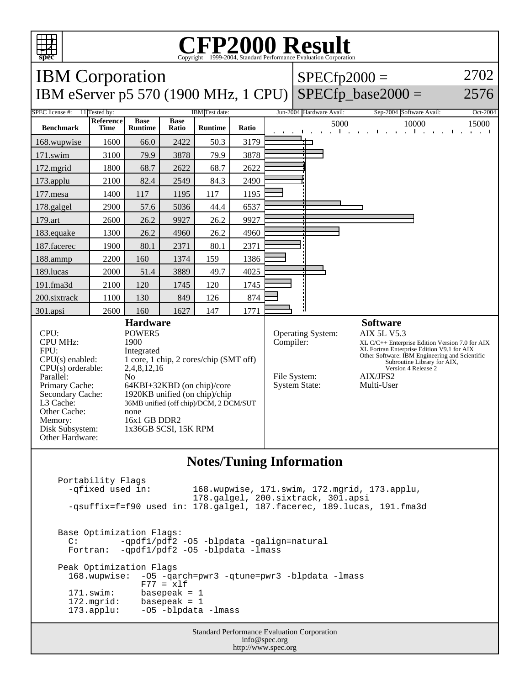

## Copyright ©1999-2004, Standard Performance Evaluation Corporation

| $\frac{1}{2}$<br>Copyright @1999-2004, Standard I Criormance Evaluation Corporation                                                                                                                              |                                                                                                                                                                                                                                                                                     |                               |                      |                |       |                                                                                                                                                                                                                                                                                                                                                      |                |                          |                                                                                                         |                                   |
|------------------------------------------------------------------------------------------------------------------------------------------------------------------------------------------------------------------|-------------------------------------------------------------------------------------------------------------------------------------------------------------------------------------------------------------------------------------------------------------------------------------|-------------------------------|----------------------|----------------|-------|------------------------------------------------------------------------------------------------------------------------------------------------------------------------------------------------------------------------------------------------------------------------------------------------------------------------------------------------------|----------------|--------------------------|---------------------------------------------------------------------------------------------------------|-----------------------------------|
| <b>IBM</b> Corporation                                                                                                                                                                                           |                                                                                                                                                                                                                                                                                     |                               |                      |                |       |                                                                                                                                                                                                                                                                                                                                                      | $SPECfp2000 =$ |                          |                                                                                                         | 2702                              |
| $SPECfp\_base2000 =$<br>IBM eServer p5 570 (1900 MHz, 1 CPU)                                                                                                                                                     |                                                                                                                                                                                                                                                                                     |                               |                      |                |       |                                                                                                                                                                                                                                                                                                                                                      |                |                          |                                                                                                         | 2576                              |
| <b>SPEC</b> license #:<br>11 Tested by:<br><b>IBM</b> Test date:                                                                                                                                                 |                                                                                                                                                                                                                                                                                     |                               |                      |                |       |                                                                                                                                                                                                                                                                                                                                                      |                | Jun-2004 Hardware Avail: | Sep-2004 Software Avail:                                                                                | Oct-2004                          |
| <b>Benchmark</b>                                                                                                                                                                                                 | Reference<br><b>Time</b>                                                                                                                                                                                                                                                            | <b>Base</b><br><b>Runtime</b> | <b>Base</b><br>Ratio | <b>Runtime</b> | Ratio |                                                                                                                                                                                                                                                                                                                                                      |                | 5000                     | 10000<br>$\frac{1}{2}$ . The set of $\frac{1}{2}$ . The set of $\frac{1}{2}$ . The set of $\frac{1}{2}$ | 15000<br><b>Contract District</b> |
| 168.wupwise                                                                                                                                                                                                      | 1600                                                                                                                                                                                                                                                                                | 66.0                          | 2422                 | 50.3           | 3179  |                                                                                                                                                                                                                                                                                                                                                      |                |                          |                                                                                                         |                                   |
| 171.swim                                                                                                                                                                                                         | 3100                                                                                                                                                                                                                                                                                | 79.9                          | 3878                 | 79.9           | 3878  |                                                                                                                                                                                                                                                                                                                                                      |                |                          |                                                                                                         |                                   |
| $172$ .mgrid                                                                                                                                                                                                     | 1800                                                                                                                                                                                                                                                                                | 68.7                          | 2622                 | 68.7           | 2622  |                                                                                                                                                                                                                                                                                                                                                      |                |                          |                                                                                                         |                                   |
| 173.applu                                                                                                                                                                                                        | 2100                                                                                                                                                                                                                                                                                | 82.4                          | 2549                 | 84.3           | 2490  |                                                                                                                                                                                                                                                                                                                                                      |                |                          |                                                                                                         |                                   |
| 177.mesa                                                                                                                                                                                                         | 1400                                                                                                                                                                                                                                                                                | 117                           | 1195                 | 117            | 1195  |                                                                                                                                                                                                                                                                                                                                                      |                |                          |                                                                                                         |                                   |
| 178.galgel                                                                                                                                                                                                       | 2900                                                                                                                                                                                                                                                                                | 57.6                          | 5036                 | 44.4           | 6537  |                                                                                                                                                                                                                                                                                                                                                      |                |                          |                                                                                                         |                                   |
| 179.art                                                                                                                                                                                                          | 2600                                                                                                                                                                                                                                                                                | 26.2                          | 9927                 | 26.2           | 9927  |                                                                                                                                                                                                                                                                                                                                                      |                |                          |                                                                                                         |                                   |
| 183.equake                                                                                                                                                                                                       | 1300                                                                                                                                                                                                                                                                                | 26.2                          | 4960                 | 26.2           | 4960  |                                                                                                                                                                                                                                                                                                                                                      |                |                          |                                                                                                         |                                   |
| 187.facerec                                                                                                                                                                                                      | 1900                                                                                                                                                                                                                                                                                | 80.1                          | 2371                 | 80.1           | 2371  |                                                                                                                                                                                                                                                                                                                                                      |                |                          |                                                                                                         |                                   |
| 188.ammp                                                                                                                                                                                                         | 2200                                                                                                                                                                                                                                                                                | 160                           | 1374                 | 159            | 1386  |                                                                                                                                                                                                                                                                                                                                                      |                |                          |                                                                                                         |                                   |
| 189.lucas                                                                                                                                                                                                        | 2000                                                                                                                                                                                                                                                                                | 51.4                          | 3889                 | 49.7           | 4025  |                                                                                                                                                                                                                                                                                                                                                      |                |                          |                                                                                                         |                                   |
| 191.fma3d                                                                                                                                                                                                        | 2100                                                                                                                                                                                                                                                                                | 120                           | 1745                 | 120            | 1745  |                                                                                                                                                                                                                                                                                                                                                      |                |                          |                                                                                                         |                                   |
| 200.sixtrack                                                                                                                                                                                                     | 1100                                                                                                                                                                                                                                                                                | 130                           | 849                  | 126            | 874   |                                                                                                                                                                                                                                                                                                                                                      |                |                          |                                                                                                         |                                   |
| 301.apsi                                                                                                                                                                                                         | 2600                                                                                                                                                                                                                                                                                | 160                           | 1627                 | 147            | 1771  |                                                                                                                                                                                                                                                                                                                                                      |                |                          |                                                                                                         |                                   |
| CPU:<br><b>CPU MHz:</b><br>FPU:<br>$CPU(s)$ enabled:<br>$CPU(s)$ orderable:<br>Parallel:<br>Primary Cache:<br>Secondary Cache:<br>L3 Cache:<br>Other Cache:<br>Memory:<br>Disk Subsystem:<br>Other Hardware:     | <b>Hardware</b><br>POWER5<br>1900<br>Integrated<br>1 core, 1 chip, 2 cores/chip (SMT off)<br>2,4,8,12,16<br>N <sub>o</sub><br>64KBI+32KBD (on chip)/core<br>1920KB unified (on chip)/chip<br>36MB unified (off chip)/DCM, 2 DCM/SUT<br>none<br>16x1 GB DDR2<br>1x36GB SCSI, 15K RPM |                               |                      |                |       | <b>Software</b><br>Operating System:<br><b>AIX 5L V5.3</b><br>Compiler:<br>$XL C/C++$ Enterprise Edition Version 7.0 for AIX<br>XL Fortran Enterprise Edition V9.1 for AIX<br>Other Software: IBM Engineering and Scientific<br>Subroutine Library for AIX,<br>Version 4 Release 2<br>File System:<br>AIX/JFS2<br><b>System State:</b><br>Multi-User |                |                          |                                                                                                         |                                   |
| <b>Notes/Tuning Information</b><br>Portability Flags<br>-qfixed used in:<br>168.wupwise, 171.swim, 172.mgrid, 173.applu,<br>178.galgel, 200.sixtrack, 301.apsi                                                   |                                                                                                                                                                                                                                                                                     |                               |                      |                |       |                                                                                                                                                                                                                                                                                                                                                      |                |                          |                                                                                                         |                                   |
| -qsuffix=f=f90 used in: 178.galgel, 187.facerec, 189.lucas, 191.fma3d                                                                                                                                            |                                                                                                                                                                                                                                                                                     |                               |                      |                |       |                                                                                                                                                                                                                                                                                                                                                      |                |                          |                                                                                                         |                                   |
| Base Optimization Flags:<br>-qpdf1/pdf2 -05 -blpdata -qalign=natural<br>$\mathbb{C}$ :<br>-qpdf1/pdf2 -05 -blpdata -lmass<br>Fortran:                                                                            |                                                                                                                                                                                                                                                                                     |                               |                      |                |       |                                                                                                                                                                                                                                                                                                                                                      |                |                          |                                                                                                         |                                   |
| Peak Optimization Flags<br>168.wupwise:<br>-05 - qarch=pwr3 - qtune=pwr3 - blpdata - lmass<br>$F77 = x1f$<br>$171$ .swim:<br>basepeak = $1$<br>172.mgrid:<br>basepeak = $1$<br>-05 -blpdata -lmass<br>173.applu: |                                                                                                                                                                                                                                                                                     |                               |                      |                |       |                                                                                                                                                                                                                                                                                                                                                      |                |                          |                                                                                                         |                                   |

Standard Performance Evaluation Corporation info@spec.org http://www.spec.org